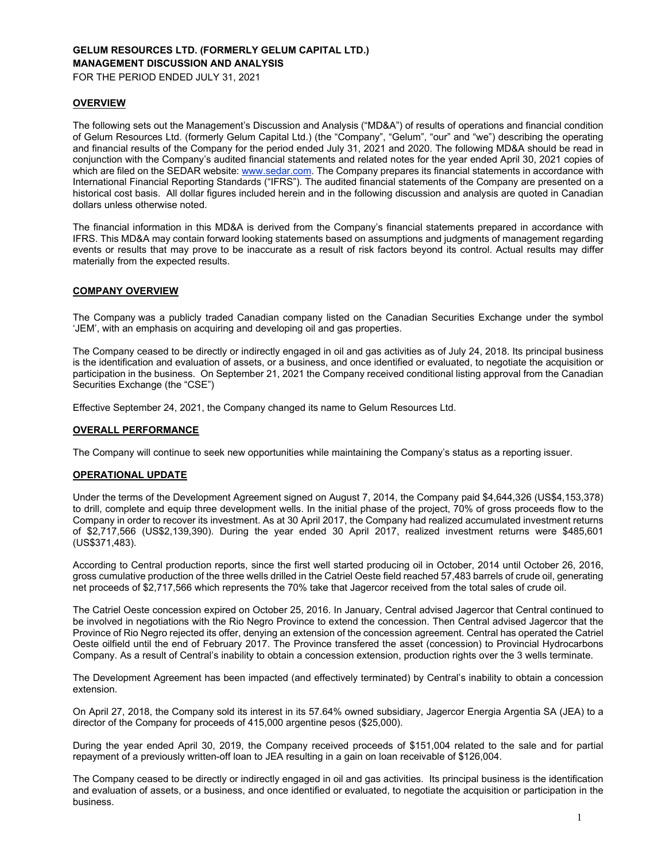# **GELUM RESOURCES LTD. (FORMERLY GELUM CAPITAL LTD.) MANAGEMENT DISCUSSION AND ANALYSIS**

FOR THE PERIOD ENDED JULY 31, 2021

### **OVERVIEW**

The following sets out the Management's Discussion and Analysis ("MD&A") of results of operations and financial condition of Gelum Resources Ltd. (formerly Gelum Capital Ltd.) (the "Company", "Gelum", "our" and "we") describing the operating and financial results of the Company for the period ended July 31, 2021 and 2020. The following MD&A should be read in conjunction with the Company's audited financial statements and related notes for the year ended April 30, 2021 copies of which are filed on the SEDAR website: www.sedar.com. The Company prepares its financial statements in accordance with International Financial Reporting Standards ("IFRS"). The audited financial statements of the Company are presented on a historical cost basis. All dollar figures included herein and in the following discussion and analysis are quoted in Canadian dollars unless otherwise noted.

The financial information in this MD&A is derived from the Company's financial statements prepared in accordance with IFRS. This MD&A may contain forward looking statements based on assumptions and judgments of management regarding events or results that may prove to be inaccurate as a result of risk factors beyond its control. Actual results may differ materially from the expected results.

# **COMPANY OVERVIEW**

The Company was a publicly traded Canadian company listed on the Canadian Securities Exchange under the symbol 'JEM', with an emphasis on acquiring and developing oil and gas properties.

The Company ceased to be directly or indirectly engaged in oil and gas activities as of July 24, 2018. Its principal business is the identification and evaluation of assets, or a business, and once identified or evaluated, to negotiate the acquisition or participation in the business. On September 21, 2021 the Company received conditional listing approval from the Canadian Securities Exchange (the "CSE")

Effective September 24, 2021, the Company changed its name to Gelum Resources Ltd.

#### **OVERALL PERFORMANCE**

The Company will continue to seek new opportunities while maintaining the Company's status as a reporting issuer.

#### **OPERATIONAL UPDATE**

Under the terms of the Development Agreement signed on August 7, 2014, the Company paid \$4,644,326 (US\$4,153,378) to drill, complete and equip three development wells. In the initial phase of the project, 70% of gross proceeds flow to the Company in order to recover its investment. As at 30 April 2017, the Company had realized accumulated investment returns of \$2,717,566 (US\$2,139,390). During the year ended 30 April 2017, realized investment returns were \$485,601 (US\$371,483).

According to Central production reports, since the first well started producing oil in October, 2014 until October 26, 2016, gross cumulative production of the three wells drilled in the Catriel Oeste field reached 57,483 barrels of crude oil, generating net proceeds of \$2,717,566 which represents the 70% take that Jagercor received from the total sales of crude oil.

The Catriel Oeste concession expired on October 25, 2016. In January, Central advised Jagercor that Central continued to be involved in negotiations with the Rio Negro Province to extend the concession. Then Central advised Jagercor that the Province of Rio Negro rejected its offer, denying an extension of the concession agreement. Central has operated the Catriel Oeste oilfield until the end of February 2017. The Province transfered the asset (concession) to Provincial Hydrocarbons Company. As a result of Central's inability to obtain a concession extension, production rights over the 3 wells terminate.

The Development Agreement has been impacted (and effectively terminated) by Central's inability to obtain a concession extension.

On April 27, 2018, the Company sold its interest in its 57.64% owned subsidiary, Jagercor Energia Argentia SA (JEA) to a director of the Company for proceeds of 415,000 argentine pesos (\$25,000).

During the year ended April 30, 2019, the Company received proceeds of \$151,004 related to the sale and for partial repayment of a previously written-off loan to JEA resulting in a gain on loan receivable of \$126,004.

The Company ceased to be directly or indirectly engaged in oil and gas activities. Its principal business is the identification and evaluation of assets, or a business, and once identified or evaluated, to negotiate the acquisition or participation in the business.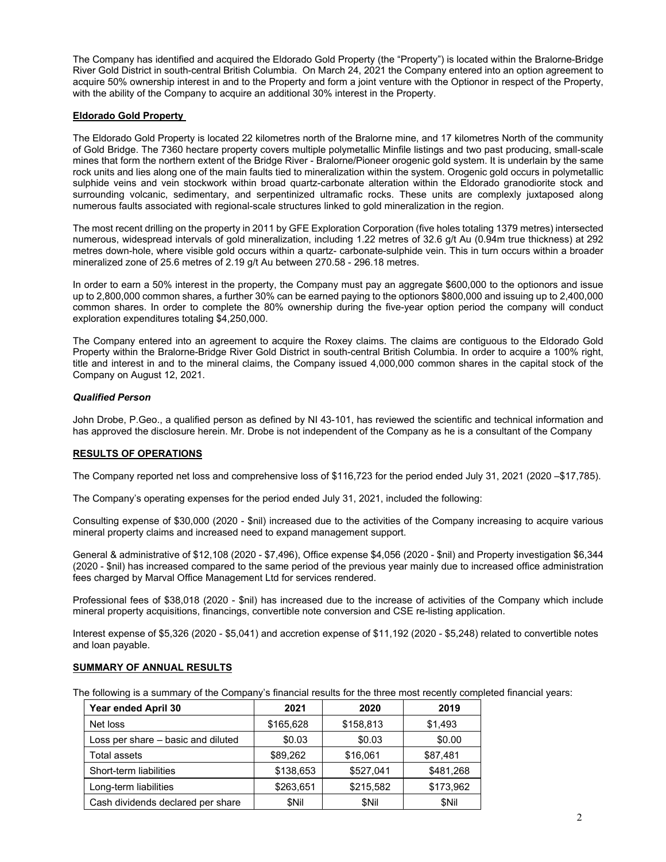The Company has identified and acquired the Eldorado Gold Property (the "Property") is located within the Bralorne-Bridge River Gold District in south-central British Columbia. On March 24, 2021 the Company entered into an option agreement to acquire 50% ownership interest in and to the Property and form a joint venture with the Optionor in respect of the Property, with the ability of the Company to acquire an additional 30% interest in the Property.

## **Eldorado Gold Property**

The Eldorado Gold Property is located 22 kilometres north of the Bralorne mine, and 17 kilometres North of the community of Gold Bridge. The 7360 hectare property covers multiple polymetallic Minfile listings and two past producing, small-scale mines that form the northern extent of the Bridge River - Bralorne/Pioneer orogenic gold system. It is underlain by the same rock units and lies along one of the main faults tied to mineralization within the system. Orogenic gold occurs in polymetallic sulphide veins and vein stockwork within broad quartz-carbonate alteration within the Eldorado granodiorite stock and surrounding volcanic, sedimentary, and serpentinized ultramafic rocks. These units are complexly juxtaposed along numerous faults associated with regional-scale structures linked to gold mineralization in the region.

The most recent drilling on the property in 2011 by GFE Exploration Corporation (five holes totaling 1379 metres) intersected numerous, widespread intervals of gold mineralization, including 1.22 metres of 32.6 g/t Au (0.94m true thickness) at 292 metres down-hole, where visible gold occurs within a quartz- carbonate-sulphide vein. This in turn occurs within a broader mineralized zone of 25.6 metres of 2.19 g/t Au between 270.58 - 296.18 metres.

In order to earn a 50% interest in the property, the Company must pay an aggregate \$600,000 to the optionors and issue up to 2,800,000 common shares, a further 30% can be earned paying to the optionors \$800,000 and issuing up to 2,400,000 common shares. In order to complete the 80% ownership during the five-year option period the company will conduct exploration expenditures totaling \$4,250,000.

The Company entered into an agreement to acquire the Roxey claims. The claims are contiguous to the Eldorado Gold Property within the Bralorne-Bridge River Gold District in south-central British Columbia. In order to acquire a 100% right, title and interest in and to the mineral claims, the Company issued 4,000,000 common shares in the capital stock of the Company on August 12, 2021.

### *Qualified Person*

John Drobe, P.Geo., a qualified person as defined by NI 43-101, has reviewed the scientific and technical information and has approved the disclosure herein. Mr. Drobe is not independent of the Company as he is a consultant of the Company

# **RESULTS OF OPERATIONS**

The Company reported net loss and comprehensive loss of \$116,723 for the period ended July 31, 2021 (2020 –\$17,785).

The Company's operating expenses for the period ended July 31, 2021, included the following:

Consulting expense of \$30,000 (2020 - \$nil) increased due to the activities of the Company increasing to acquire various mineral property claims and increased need to expand management support.

General & administrative of \$12,108 (2020 - \$7,496), Office expense \$4,056 (2020 - \$nil) and Property investigation \$6,344 (2020 - \$nil) has increased compared to the same period of the previous year mainly due to increased office administration fees charged by Marval Office Management Ltd for services rendered.

Professional fees of \$38,018 (2020 - \$nil) has increased due to the increase of activities of the Company which include mineral property acquisitions, financings, convertible note conversion and CSE re-listing application.

Interest expense of \$5,326 (2020 - \$5,041) and accretion expense of \$11,192 (2020 - \$5,248) related to convertible notes and loan payable.

# **SUMMARY OF ANNUAL RESULTS**

The following is a summary of the Company's financial results for the three most recently completed financial years:

| Year ended April 30                | 2021      | 2020      | 2019      |
|------------------------------------|-----------|-----------|-----------|
| Net loss                           | \$165,628 | \$158,813 | \$1,493   |
| Loss per share - basic and diluted | \$0.03    | \$0.03    | \$0.00    |
| Total assets                       | \$89,262  | \$16,061  | \$87,481  |
| Short-term liabilities             | \$138,653 | \$527.041 | \$481,268 |
| Long-term liabilities              | \$263,651 | \$215,582 | \$173,962 |
| Cash dividends declared per share  | \$Nil     | \$Nil     | \$Nil     |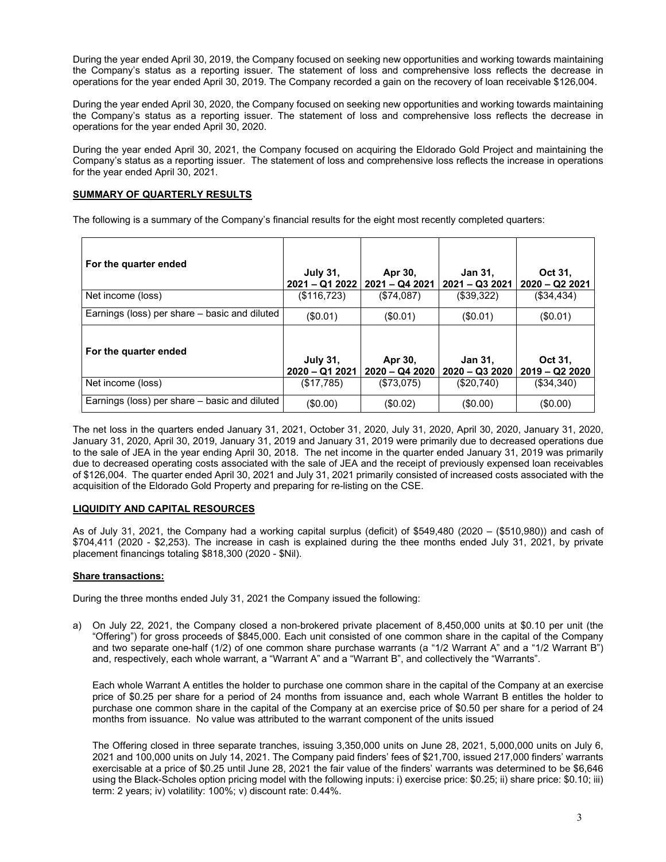During the year ended April 30, 2019, the Company focused on seeking new opportunities and working towards maintaining the Company's status as a reporting issuer. The statement of loss and comprehensive loss reflects the decrease in operations for the year ended April 30, 2019. The Company recorded a gain on the recovery of loan receivable \$126,004.

During the year ended April 30, 2020, the Company focused on seeking new opportunities and working towards maintaining the Company's status as a reporting issuer. The statement of loss and comprehensive loss reflects the decrease in operations for the year ended April 30, 2020.

During the year ended April 30, 2021, the Company focused on acquiring the Eldorado Gold Project and maintaining the Company's status as a reporting issuer. The statement of loss and comprehensive loss reflects the increase in operations for the year ended April 30, 2021.

# **SUMMARY OF QUARTERLY RESULTS**

The following is a summary of the Company's financial results for the eight most recently completed quarters:

| For the quarter ended                         | <b>July 31.</b><br>$2021 - Q12022$ | Apr 30,<br>2021 – Q4 2021 | Jan 31,<br>$2021 - Q32021$ | Oct 31,<br>$2020 - Q222021$ |
|-----------------------------------------------|------------------------------------|---------------------------|----------------------------|-----------------------------|
| Net income (loss)                             | (\$116,723)                        | (\$74,087)                | (\$39,322)                 | (\$34,434)                  |
| Earnings (loss) per share – basic and diluted | (\$0.01)                           | (\$0.01)                  | (S0.01)                    | (\$0.01)                    |
| For the quarter ended                         | <b>July 31,</b><br>$2020 - Q12021$ | Apr 30,<br>2020 - Q4 2020 | Jan 31,<br>$2020 - Q32020$ | Oct 31.<br>$2019 - Q22020$  |
| Net income (loss)                             | (\$17,785)                         | (\$73,075)                | $(\$20,740)$               | $($ \$34,340)               |
| Earnings (loss) per share - basic and diluted | (\$0.00)                           | (\$0.02)                  | (\$0.00)                   | $($ \$0.00)                 |

The net loss in the quarters ended January 31, 2021, October 31, 2020, July 31, 2020, April 30, 2020, January 31, 2020, January 31, 2020, April 30, 2019, January 31, 2019 and January 31, 2019 were primarily due to decreased operations due to the sale of JEA in the year ending April 30, 2018. The net income in the quarter ended January 31, 2019 was primarily due to decreased operating costs associated with the sale of JEA and the receipt of previously expensed loan receivables of \$126,004. The quarter ended April 30, 2021 and July 31, 2021 primarily consisted of increased costs associated with the acquisition of the Eldorado Gold Property and preparing for re-listing on the CSE.

### **LIQUIDITY AND CAPITAL RESOURCES**

As of July 31, 2021, the Company had a working capital surplus (deficit) of \$549,480 (2020 – (\$510,980)) and cash of \$704,411 (2020 - \$2,253). The increase in cash is explained during the thee months ended July 31, 2021, by private placement financings totaling \$818,300 (2020 - \$Nil).

### **Share transactions:**

During the three months ended July 31, 2021 the Company issued the following:

a) On July 22, 2021, the Company closed a non-brokered private placement of 8,450,000 units at \$0.10 per unit (the "Offering") for gross proceeds of \$845,000. Each unit consisted of one common share in the capital of the Company and two separate one-half (1/2) of one common share purchase warrants (a "1/2 Warrant A" and a "1/2 Warrant B") and, respectively, each whole warrant, a "Warrant A" and a "Warrant B", and collectively the "Warrants".

Each whole Warrant A entitles the holder to purchase one common share in the capital of the Company at an exercise price of \$0.25 per share for a period of 24 months from issuance and, each whole Warrant B entitles the holder to purchase one common share in the capital of the Company at an exercise price of \$0.50 per share for a period of 24 months from issuance. No value was attributed to the warrant component of the units issued

The Offering closed in three separate tranches, issuing 3,350,000 units on June 28, 2021, 5,000,000 units on July 6, 2021 and 100,000 units on July 14, 2021. The Company paid finders' fees of \$21,700, issued 217,000 finders' warrants exercisable at a price of \$0.25 until June 28, 2021 the fair value of the finders' warrants was determined to be \$6,646 using the Black-Scholes option pricing model with the following inputs: i) exercise price: \$0.25; ii) share price: \$0.10; iii) term: 2 years; iv) volatility: 100%; v) discount rate: 0.44%.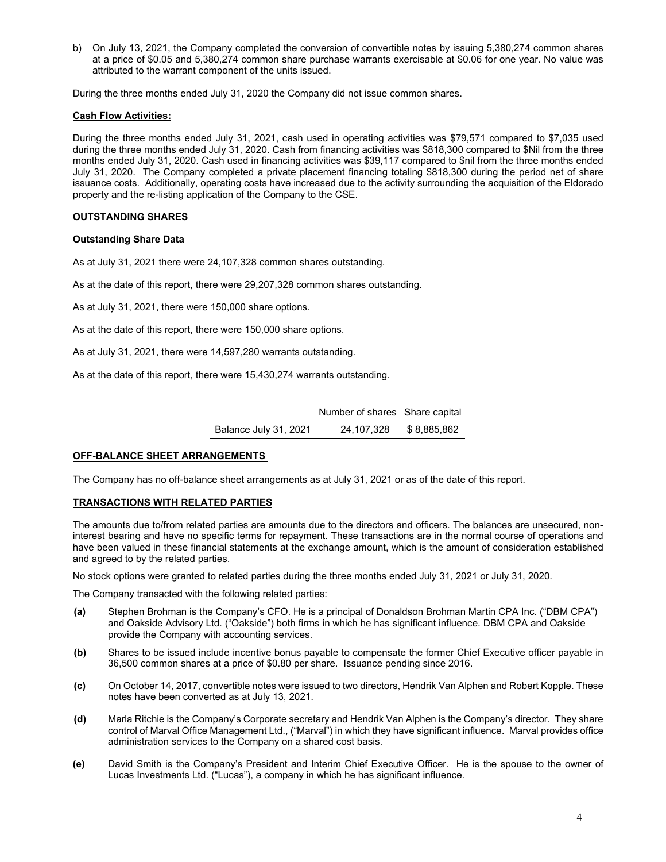b) On July 13, 2021, the Company completed the conversion of convertible notes by issuing 5,380,274 common shares at a price of \$0.05 and 5,380,274 common share purchase warrants exercisable at \$0.06 for one year. No value was attributed to the warrant component of the units issued.

During the three months ended July 31, 2020 the Company did not issue common shares.

#### **Cash Flow Activities:**

During the three months ended July 31, 2021, cash used in operating activities was \$79,571 compared to \$7,035 used during the three months ended July 31, 2020. Cash from financing activities was \$818,300 compared to \$Nil from the three months ended July 31, 2020. Cash used in financing activities was \$39,117 compared to \$nil from the three months ended July 31, 2020. The Company completed a private placement financing totaling \$818,300 during the period net of share issuance costs. Additionally, operating costs have increased due to the activity surrounding the acquisition of the Eldorado property and the re-listing application of the Company to the CSE.

#### **OUTSTANDING SHARES**

#### **Outstanding Share Data**

As at July 31, 2021 there were 24,107,328 common shares outstanding.

As at the date of this report, there were 29,207,328 common shares outstanding.

As at July 31, 2021, there were 150,000 share options.

As at the date of this report, there were 150,000 share options.

As at July 31, 2021, there were 14,597,280 warrants outstanding.

As at the date of this report, there were 15,430,274 warrants outstanding.

|                       | Number of shares Share capital |             |  |
|-----------------------|--------------------------------|-------------|--|
| Balance July 31, 2021 | 24.107.328                     | \$8.885.862 |  |

#### **OFF-BALANCE SHEET ARRANGEMENTS**

The Company has no off-balance sheet arrangements as at July 31, 2021 or as of the date of this report.

#### **TRANSACTIONS WITH RELATED PARTIES**

The amounts due to/from related parties are amounts due to the directors and officers. The balances are unsecured, noninterest bearing and have no specific terms for repayment. These transactions are in the normal course of operations and have been valued in these financial statements at the exchange amount, which is the amount of consideration established and agreed to by the related parties.

No stock options were granted to related parties during the three months ended July 31, 2021 or July 31, 2020.

The Company transacted with the following related parties:

- **(a)** Stephen Brohman is the Company's CFO. He is a principal of Donaldson Brohman Martin CPA Inc. ("DBM CPA") and Oakside Advisory Ltd. ("Oakside") both firms in which he has significant influence. DBM CPA and Oakside provide the Company with accounting services.
- **(b)** Shares to be issued include incentive bonus payable to compensate the former Chief Executive officer payable in 36,500 common shares at a price of \$0.80 per share. Issuance pending since 2016.
- **(c)** On October 14, 2017, convertible notes were issued to two directors, Hendrik Van Alphen and Robert Kopple. These notes have been converted as at July 13, 2021.
- **(d)** Marla Ritchie is the Company's Corporate secretary and Hendrik Van Alphen is the Company's director. They share control of Marval Office Management Ltd., ("Marval") in which they have significant influence. Marval provides office administration services to the Company on a shared cost basis.
- **(e)** David Smith is the Company's President and Interim Chief Executive Officer. He is the spouse to the owner of Lucas Investments Ltd. ("Lucas"), a company in which he has significant influence.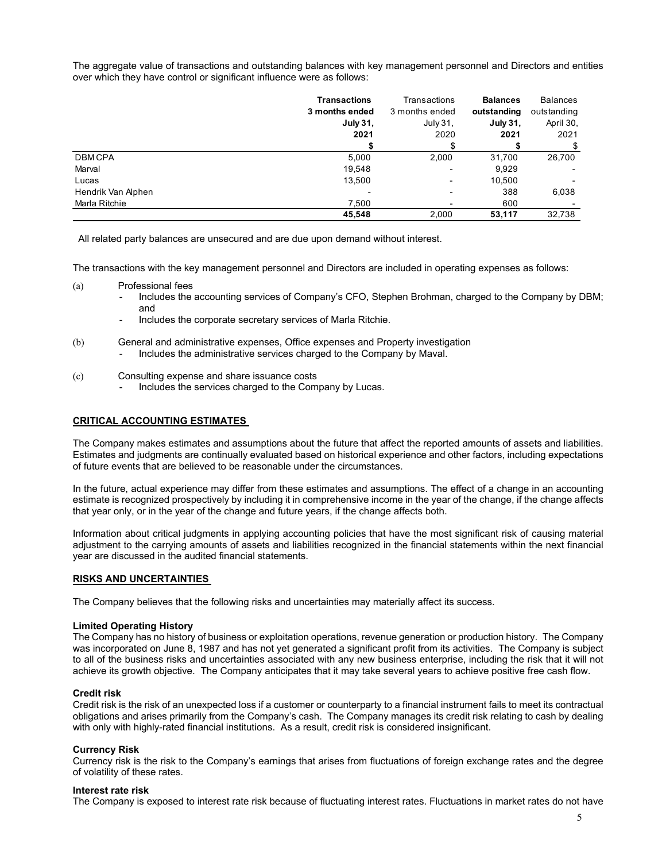The aggregate value of transactions and outstanding balances with key management personnel and Directors and entities over which they have control or significant influence were as follows:

|                    | <b>Transactions</b> | Transactions   | <b>Balances</b> | Balances    |
|--------------------|---------------------|----------------|-----------------|-------------|
|                    | 3 months ended      | 3 months ended | outstanding     | outstanding |
|                    | <b>July 31.</b>     | July 31.       | July 31,        | April 30,   |
|                    | 2021                | 2020           | 2021            | 2021        |
|                    |                     |                |                 | \$          |
| <b>DBMCPA</b>      | 5,000               | 2,000          | 31,700          | 26,700      |
| Marval             | 19,548              |                | 9,929           |             |
| Lucas              | 13,500              | -              | 10.500          |             |
| Hendrik Van Alphen |                     |                | 388             | 6,038       |
| Marla Ritchie      | 7,500               |                | 600             |             |
|                    | 45.548              | 2.000          | 53.117          | 32.738      |

All related party balances are unsecured and are due upon demand without interest.

The transactions with the key management personnel and Directors are included in operating expenses as follows:

- (a) Professional fees
	- Includes the accounting services of Company's CFO, Stephen Brohman, charged to the Company by DBM; and
	- Includes the corporate secretary services of Marla Ritchie.
- (b) General and administrative expenses, Office expenses and Property investigation - Includes the administrative services charged to the Company by Maval.
- (c) Consulting expense and share issuance costs
	- Includes the services charged to the Company by Lucas.

### **CRITICAL ACCOUNTING ESTIMATES**

The Company makes estimates and assumptions about the future that affect the reported amounts of assets and liabilities. Estimates and judgments are continually evaluated based on historical experience and other factors, including expectations of future events that are believed to be reasonable under the circumstances.

In the future, actual experience may differ from these estimates and assumptions. The effect of a change in an accounting estimate is recognized prospectively by including it in comprehensive income in the year of the change, if the change affects that year only, or in the year of the change and future years, if the change affects both.

Information about critical judgments in applying accounting policies that have the most significant risk of causing material adjustment to the carrying amounts of assets and liabilities recognized in the financial statements within the next financial year are discussed in the audited financial statements.

#### **RISKS AND UNCERTAINTIES**

The Company believes that the following risks and uncertainties may materially affect its success.

#### **Limited Operating History**

The Company has no history of business or exploitation operations, revenue generation or production history. The Company was incorporated on June 8, 1987 and has not yet generated a significant profit from its activities. The Company is subject to all of the business risks and uncertainties associated with any new business enterprise, including the risk that it will not achieve its growth objective. The Company anticipates that it may take several years to achieve positive free cash flow.

### **Credit risk**

Credit risk is the risk of an unexpected loss if a customer or counterparty to a financial instrument fails to meet its contractual obligations and arises primarily from the Company's cash. The Company manages its credit risk relating to cash by dealing with only with highly-rated financial institutions. As a result, credit risk is considered insignificant.

#### **Currency Risk**

Currency risk is the risk to the Company's earnings that arises from fluctuations of foreign exchange rates and the degree of volatility of these rates.

### **Interest rate risk**

The Company is exposed to interest rate risk because of fluctuating interest rates. Fluctuations in market rates do not have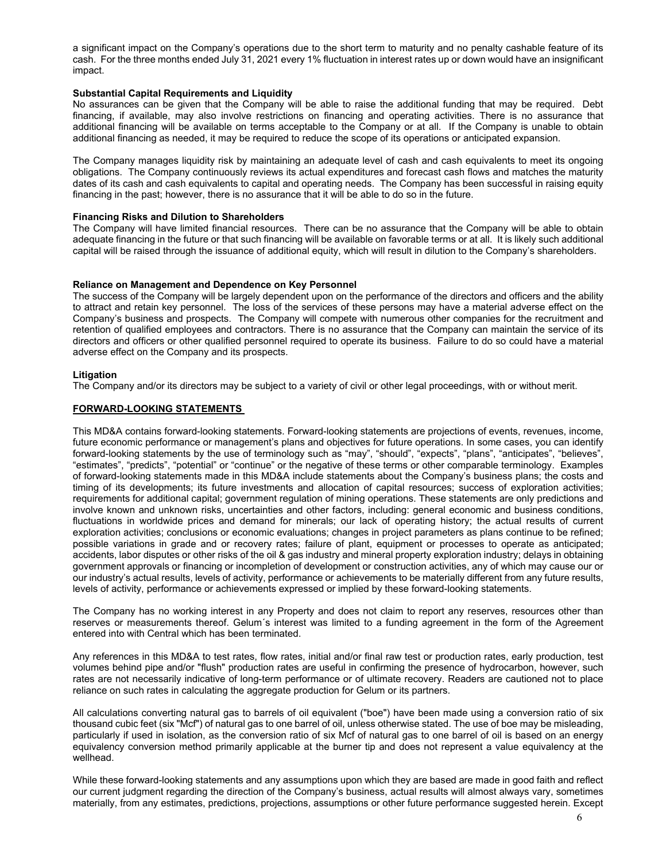a significant impact on the Company's operations due to the short term to maturity and no penalty cashable feature of its cash. For the three months ended July 31, 2021 every 1% fluctuation in interest rates up or down would have an insignificant impact.

### **Substantial Capital Requirements and Liquidity**

No assurances can be given that the Company will be able to raise the additional funding that may be required. Debt financing, if available, may also involve restrictions on financing and operating activities. There is no assurance that additional financing will be available on terms acceptable to the Company or at all. If the Company is unable to obtain additional financing as needed, it may be required to reduce the scope of its operations or anticipated expansion.

The Company manages liquidity risk by maintaining an adequate level of cash and cash equivalents to meet its ongoing obligations. The Company continuously reviews its actual expenditures and forecast cash flows and matches the maturity dates of its cash and cash equivalents to capital and operating needs. The Company has been successful in raising equity financing in the past; however, there is no assurance that it will be able to do so in the future.

### **Financing Risks and Dilution to Shareholders**

The Company will have limited financial resources. There can be no assurance that the Company will be able to obtain adequate financing in the future or that such financing will be available on favorable terms or at all. It is likely such additional capital will be raised through the issuance of additional equity, which will result in dilution to the Company's shareholders.

### **Reliance on Management and Dependence on Key Personnel**

The success of the Company will be largely dependent upon on the performance of the directors and officers and the ability to attract and retain key personnel. The loss of the services of these persons may have a material adverse effect on the Company's business and prospects. The Company will compete with numerous other companies for the recruitment and retention of qualified employees and contractors. There is no assurance that the Company can maintain the service of its directors and officers or other qualified personnel required to operate its business. Failure to do so could have a material adverse effect on the Company and its prospects.

# **Litigation**

The Company and/or its directors may be subject to a variety of civil or other legal proceedings, with or without merit.

# **FORWARD-LOOKING STATEMENTS**

This MD&A contains forward-looking statements. Forward-looking statements are projections of events, revenues, income, future economic performance or management's plans and objectives for future operations. In some cases, you can identify forward-looking statements by the use of terminology such as "may", "should", "expects", "plans", "anticipates", "believes", "estimates", "predicts", "potential" or "continue" or the negative of these terms or other comparable terminology. Examples of forward-looking statements made in this MD&A include statements about the Company's business plans; the costs and timing of its developments; its future investments and allocation of capital resources; success of exploration activities; requirements for additional capital; government regulation of mining operations. These statements are only predictions and involve known and unknown risks, uncertainties and other factors, including: general economic and business conditions, fluctuations in worldwide prices and demand for minerals; our lack of operating history; the actual results of current exploration activities; conclusions or economic evaluations; changes in project parameters as plans continue to be refined; possible variations in grade and or recovery rates; failure of plant, equipment or processes to operate as anticipated; accidents, labor disputes or other risks of the oil & gas industry and mineral property exploration industry; delays in obtaining government approvals or financing or incompletion of development or construction activities, any of which may cause our or our industry's actual results, levels of activity, performance or achievements to be materially different from any future results, levels of activity, performance or achievements expressed or implied by these forward-looking statements.

The Company has no working interest in any Property and does not claim to report any reserves, resources other than reserves or measurements thereof. Gelum´s interest was limited to a funding agreement in the form of the Agreement entered into with Central which has been terminated.

Any references in this MD&A to test rates, flow rates, initial and/or final raw test or production rates, early production, test volumes behind pipe and/or "flush" production rates are useful in confirming the presence of hydrocarbon, however, such rates are not necessarily indicative of long-term performance or of ultimate recovery. Readers are cautioned not to place reliance on such rates in calculating the aggregate production for Gelum or its partners.

All calculations converting natural gas to barrels of oil equivalent ("boe") have been made using a conversion ratio of six thousand cubic feet (six "Mcf") of natural gas to one barrel of oil, unless otherwise stated. The use of boe may be misleading, particularly if used in isolation, as the conversion ratio of six Mcf of natural gas to one barrel of oil is based on an energy equivalency conversion method primarily applicable at the burner tip and does not represent a value equivalency at the wellhead.

While these forward-looking statements and any assumptions upon which they are based are made in good faith and reflect our current judgment regarding the direction of the Company's business, actual results will almost always vary, sometimes materially, from any estimates, predictions, projections, assumptions or other future performance suggested herein. Except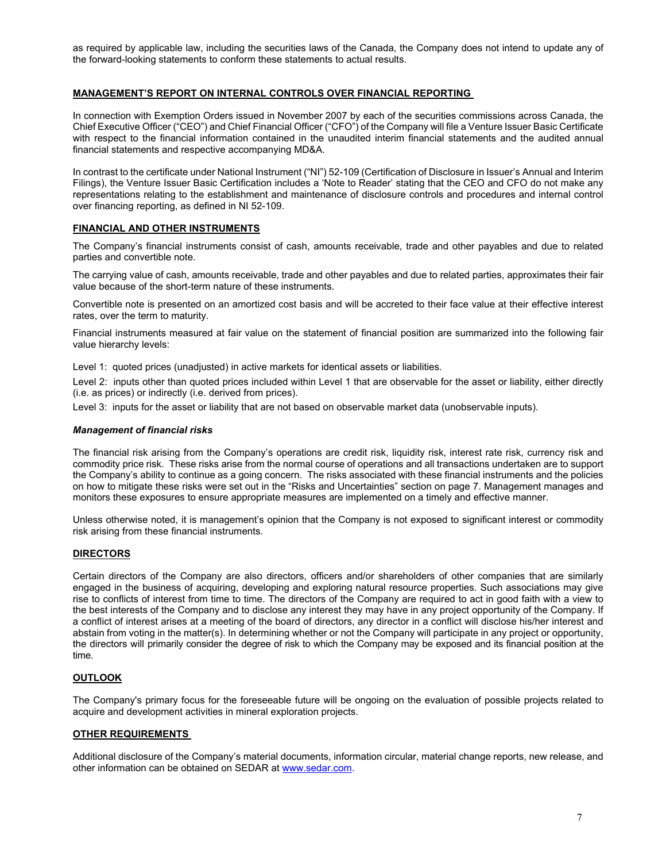as required by applicable law, including the securities laws of the Canada, the Company does not intend to update any of the forward-looking statements to conform these statements to actual results.

# **MANAGEMENT'S REPORT ON INTERNAL CONTROLS OVER FINANCIAL REPORTING**

In connection with Exemption Orders issued in November 2007 by each of the securities commissions across Canada, the Chief Executive Officer ("CEO") and Chief Financial Officer ("CFO") of the Company will file a Venture Issuer Basic Certificate with respect to the financial information contained in the unaudited interim financial statements and the audited annual financial statements and respective accompanying MD&A.

In contrast to the certificate under National Instrument ("NI") 52-109 (Certification of Disclosure in Issuer's Annual and Interim Filings), the Venture Issuer Basic Certification includes a 'Note to Reader' stating that the CEO and CFO do not make any representations relating to the establishment and maintenance of disclosure controls and procedures and internal control over financing reporting, as defined in NI 52-109.

## **FINANCIAL AND OTHER INSTRUMENTS**

The Company's financial instruments consist of cash, amounts receivable, trade and other payables and due to related parties and convertible note.

The carrying value of cash, amounts receivable, trade and other payables and due to related parties, approximates their fair value because of the short-term nature of these instruments.

Convertible note is presented on an amortized cost basis and will be accreted to their face value at their effective interest rates, over the term to maturity.

Financial instruments measured at fair value on the statement of financial position are summarized into the following fair value hierarchy levels:

Level 1: quoted prices (unadjusted) in active markets for identical assets or liabilities.

Level 2: inputs other than quoted prices included within Level 1 that are observable for the asset or liability, either directly (i.e. as prices) or indirectly (i.e. derived from prices).

Level 3: inputs for the asset or liability that are not based on observable market data (unobservable inputs).

### *Management of financial risks*

The financial risk arising from the Company's operations are credit risk, liquidity risk, interest rate risk, currency risk and commodity price risk. These risks arise from the normal course of operations and all transactions undertaken are to support the Company's ability to continue as a going concern. The risks associated with these financial instruments and the policies on how to mitigate these risks were set out in the "Risks and Uncertainties" section on page 7. Management manages and monitors these exposures to ensure appropriate measures are implemented on a timely and effective manner.

Unless otherwise noted, it is management's opinion that the Company is not exposed to significant interest or commodity risk arising from these financial instruments.

### **DIRECTORS**

Certain directors of the Company are also directors, officers and/or shareholders of other companies that are similarly engaged in the business of acquiring, developing and exploring natural resource properties. Such associations may give rise to conflicts of interest from time to time. The directors of the Company are required to act in good faith with a view to the best interests of the Company and to disclose any interest they may have in any project opportunity of the Company. If a conflict of interest arises at a meeting of the board of directors, any director in a conflict will disclose his/her interest and abstain from voting in the matter(s). In determining whether or not the Company will participate in any project or opportunity, the directors will primarily consider the degree of risk to which the Company may be exposed and its financial position at the time.

# **OUTLOOK**

The Company's primary focus for the foreseeable future will be ongoing on the evaluation of possible projects related to acquire and development activities in mineral exploration projects.

### **OTHER REQUIREMENTS**

Additional disclosure of the Company's material documents, information circular, material change reports, new release, and other information can be obtained on SEDAR a[t www.sedar.com.](http://www.sedar.com/)